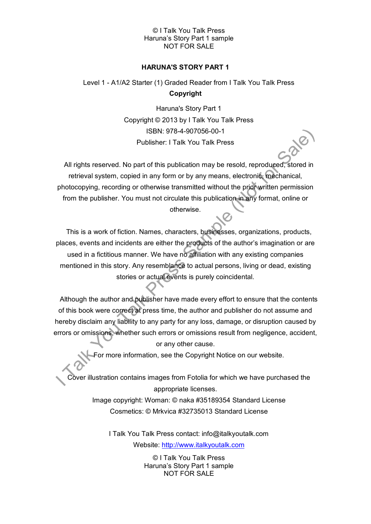# © I Talk You Talk Press Haruna's Story Part 1 sample NOT FOR SALE

# **HARUNA'S STORY PART 1**

# Level 1 - A1/A2 Starter (1) Graded Reader from I Talk You Talk Press **Copyright**

Haruna's Story Part 1 Copyright © 2013 by I Talk You Talk Press ISBN: 978-4-907056-00-1 Publisher: I Talk You Talk Press

All rights reserved. No part of this publication may be resold, reproduced, stored in retrieval system, copied in any form or by any means, electronic, mechanical, photocopying, recording or otherwise transmitted without the prior written permission from the publisher. You must not circulate this publication in any format, online or otherwise.

This is a work of fiction. Names, characters, businesses, organizations, products, places, events and incidents are either the products of the author's imagination or are used in a fictitious manner. We have no affiliation with any existing companies mentioned in this story. Any resemblance to actual persons, living or dead, existing stories or actual events is purely coincidental.

Although the author and publisher have made every effort to ensure that the contents of this book were correct at press time, the author and publisher do not assume and hereby disclaim any liability to any party for any loss, damage, or disruption caused by errors or omissions, whether such errors or omissions result from negligence, accident, or any other cause.

For more information, see the Copyright Notice on our website.

Cover illustration contains images from Fotolia for which we have purchased the appropriate licenses.

> Image copyright: Woman: © naka #35189354 Standard License Cosmetics: © Mrkvica #32735013 Standard License

I Talk You Talk Press contact: info@italkyoutalk.com Website: [http://www.italkyoutalk.com](http://www.italkyoutalk.com/)

> © I Talk You Talk Press Haruna's Story Part 1 sample NOT FOR SALE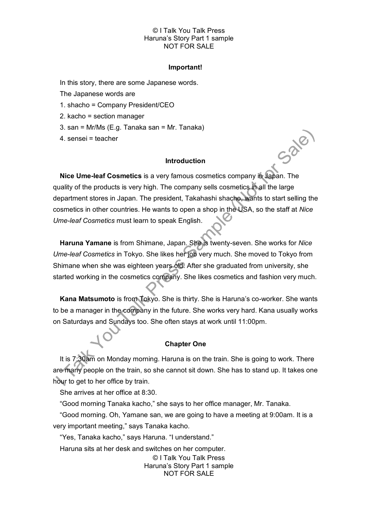# © I Talk You Talk Press Haruna's Story Part 1 sample NOT FOR SALE

#### **Important!**

In this story, there are some Japanese words.

The Japanese words are

1. shacho = Company President/CEO

2. kacho = section manager

3. san = Mr/Ms (E.g. Tanaka san = Mr. Tanaka)

4. sensei = teacher

#### **Introduction**

Sale

**Nice Ume-leaf Cosmetics** is a very famous cosmetics company in Japan. The quality of the products is very high. The company sells cosmetics in all the large department stores in Japan. The president, Takahashi shacho, wants to start selling the cosmetics in other countries. He wants to open a shop in the USA, so the staff at *Nice Ume-leaf Cosmetics* must learn to speak English.

**Haruna Yamane** is from Shimane, Japan. She is twenty-seven. She works for *Nice Ume-leaf Cosmetics* in Tokyo. She likes her job very much. She moved to Tokyo from Shimane when she was eighteen years old. After she graduated from university, she started working in the cosmetics company. She likes cosmetics and fashion very much.

**Kana Matsumoto** is from Tokyo. She is thirty. She is Haruna's co-worker. She wants to be a manager in the company in the future. She works very hard. Kana usually works on Saturdays and Sundays too. She often stays at work until 11:00pm.

# **Chapter One**

It is 7:30am on Monday morning. Haruna is on the train. She is going to work. There are many people on the train, so she cannot sit down. She has to stand up. It takes one hour to get to her office by train.

She arrives at her office at 8:30.

"Good morning Tanaka kacho," she says to her office manager, Mr. Tanaka.

"Good morning. Oh, Yamane san, we are going to have a meeting at 9:00am. It is a very important meeting," says Tanaka kacho*.*

"Yes, Tanaka kacho," says Haruna. "I understand."

Haruna sits at her desk and switches on her computer.

© I Talk You Talk Press Haruna's Story Part 1 sample NOT FOR SALE